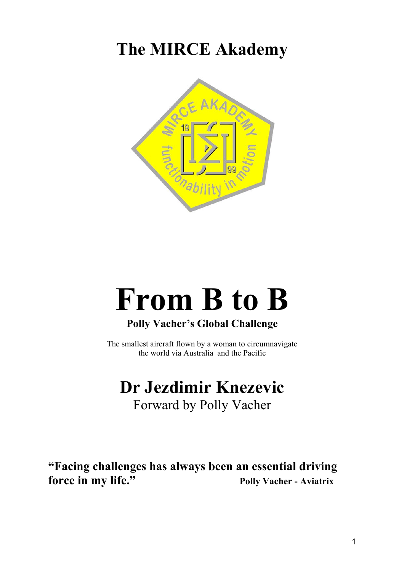**The MIRCE Akademy** 



# **From B to B**

# **Polly Vacher's Global Challenge**

The smallest aircraft flown by a woman to circumnavigate the world via Australia and the Pacific

# **Dr Jezdimir Knezevic**  Forward by Polly Vacher

**"Facing challenges has always been an essential driving force in my life."** Polly Vacher - Aviatrix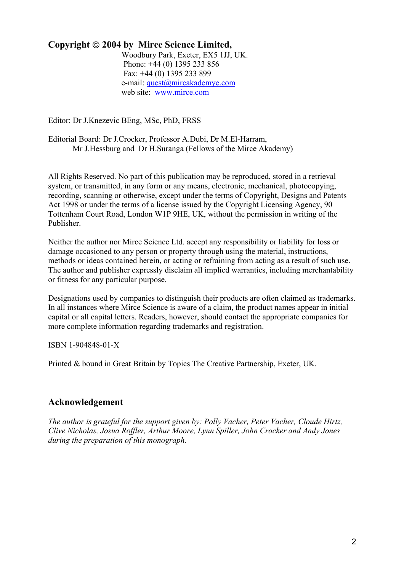# **Copyright 2004 by Mirce Science Limited,**

 Woodbury Park, Exeter, EX5 1JJ, UK. Phone: +44 (0) 1395 233 856 Fax: +44 (0) 1395 233 899 e-mail: quest@mircakademye.com web site: www.mirce.com

Editor: Dr J.Knezevic BEng, MSc, PhD, FRSS

Editorial Board: Dr J.Crocker, Professor A.Dubi, Dr M.El-Harram, Mr J.Hessburg and Dr H.Suranga (Fellows of the Mirce Akademy)

All Rights Reserved. No part of this publication may be reproduced, stored in a retrieval system, or transmitted, in any form or any means, electronic, mechanical, photocopying, recording, scanning or otherwise, except under the terms of Copyright, Designs and Patents Act 1998 or under the terms of a license issued by the Copyright Licensing Agency, 90 Tottenham Court Road, London W1P 9HE, UK, without the permission in writing of the Publisher.

Neither the author nor Mirce Science Ltd. accept any responsibility or liability for loss or damage occasioned to any person or property through using the material, instructions, methods or ideas contained herein, or acting or refraining from acting as a result of such use. The author and publisher expressly disclaim all implied warranties, including merchantability or fitness for any particular purpose.

Designations used by companies to distinguish their products are often claimed as trademarks. In all instances where Mirce Science is aware of a claim, the product names appear in initial capital or all capital letters. Readers, however, should contact the appropriate companies for more complete information regarding trademarks and registration.

ISBN 1-904848-01-X

Printed & bound in Great Britain by Topics The Creative Partnership, Exeter, UK.

# **Acknowledgement**

*The author is grateful for the support given by: Polly Vacher, Peter Vacher, Cloude Hirtz, Clive Nicholas, Josua Roffler, Arthur Moore, Lynn Spiller, John Crocker and Andy Jones during the preparation of this monograph.*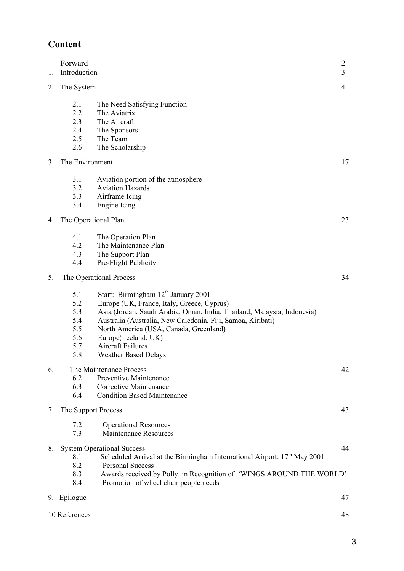# **Content**

| 1. | Forward<br>Introduction                              |                                                                                                                                                                                                                                                                                                                                                                     | $\overline{2}$<br>3 |
|----|------------------------------------------------------|---------------------------------------------------------------------------------------------------------------------------------------------------------------------------------------------------------------------------------------------------------------------------------------------------------------------------------------------------------------------|---------------------|
| 2. | The System                                           |                                                                                                                                                                                                                                                                                                                                                                     | 4                   |
|    | 2.1<br>2.2<br>2.3<br>2.4<br>2.5<br>2.6               | The Need Satisfying Function<br>The Aviatrix<br>The Aircraft<br>The Sponsors<br>The Team<br>The Scholarship                                                                                                                                                                                                                                                         |                     |
| 3. | The Environment                                      |                                                                                                                                                                                                                                                                                                                                                                     | 17                  |
|    | 3.1<br>3.2<br>3.3<br>3.4                             | Aviation portion of the atmosphere<br><b>Aviation Hazards</b><br>Airframe Icing<br>Engine Icing                                                                                                                                                                                                                                                                     |                     |
| 4. | The Operational Plan                                 |                                                                                                                                                                                                                                                                                                                                                                     | 23                  |
|    | 4.1<br>4.2<br>4.3<br>4.4                             | The Operation Plan<br>The Maintenance Plan<br>The Support Plan<br>Pre-Flight Publicity                                                                                                                                                                                                                                                                              |                     |
| 5. |                                                      | The Operational Process                                                                                                                                                                                                                                                                                                                                             | 34                  |
|    | 5.1<br>5.2<br>5.3<br>5.4<br>5.5<br>5.6<br>5.7<br>5.8 | Start: Birmingham 12 <sup>th</sup> January 2001<br>Europe (UK, France, Italy, Greece, Cyprus)<br>Asia (Jordan, Saudi Arabia, Oman, India, Thailand, Malaysia, Indonesia)<br>Australia (Australia, New Caledonia, Fiji, Samoa, Kiribati)<br>North America (USA, Canada, Greenland)<br>Europe(Iceland, UK)<br><b>Aircraft Failures</b><br><b>Weather Based Delays</b> |                     |
| 6. | 6.2<br>6.3<br>6.4                                    | The Maintenance Process<br>Preventive Maintenance<br>Corrective Maintenance<br><b>Condition Based Maintenance</b>                                                                                                                                                                                                                                                   | 42                  |
| 7. | The Support Process                                  |                                                                                                                                                                                                                                                                                                                                                                     | 43                  |
|    | 7.2<br>7.3                                           | <b>Operational Resources</b><br>Maintenance Resources                                                                                                                                                                                                                                                                                                               |                     |
| 8. | 8.1<br>8.2<br>8.3<br>8.4                             | <b>System Operational Success</b><br>Scheduled Arrival at the Birmingham International Airport: $17th$ May 2001<br><b>Personal Success</b><br>Awards received by Polly in Recognition of 'WINGS AROUND THE WORLD'<br>Promotion of wheel chair people needs                                                                                                          | 44                  |
|    | 9. Epilogue                                          |                                                                                                                                                                                                                                                                                                                                                                     | 47                  |
|    | 10 References                                        |                                                                                                                                                                                                                                                                                                                                                                     | 48                  |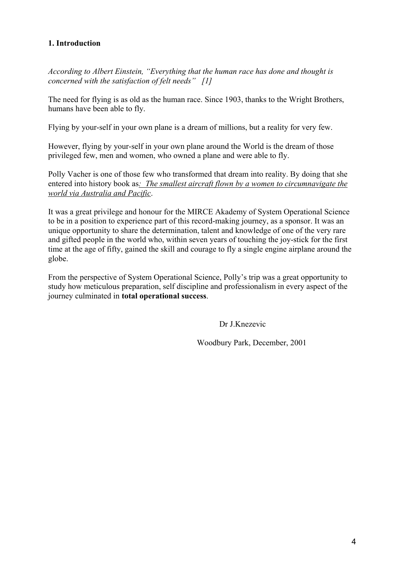#### **1. Introduction**

*According to Albert Einstein, "Everything that the human race has done and thought is concerned with the satisfaction of felt needs" [1]* 

The need for flying is as old as the human race. Since 1903, thanks to the Wright Brothers, humans have been able to fly.

Flying by your-self in your own plane is a dream of millions, but a reality for very few.

However, flying by your-self in your own plane around the World is the dream of those privileged few, men and women, who owned a plane and were able to fly.

Polly Vacher is one of those few who transformed that dream into reality. By doing that she entered into history book as*: The smallest aircraft flown by a women to circumnavigate the world via Australia and Pacific*.

It was a great privilege and honour for the MIRCE Akademy of System Operational Science to be in a position to experience part of this record-making journey, as a sponsor. It was an unique opportunity to share the determination, talent and knowledge of one of the very rare and gifted people in the world who, within seven years of touching the joy-stick for the first time at the age of fifty, gained the skill and courage to fly a single engine airplane around the globe.

From the perspective of System Operational Science, Polly's trip was a great opportunity to study how meticulous preparation, self discipline and professionalism in every aspect of the journey culminated in **total operational success**.

Dr J.Knezevic

Woodbury Park, December, 2001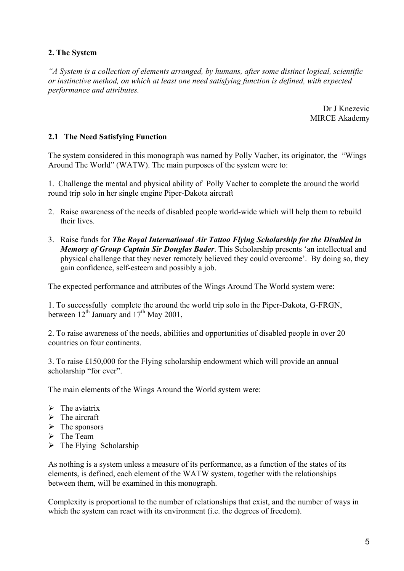#### **2. The System**

*"A System is a collection of elements arranged, by humans, after some distinct logical, scientific or instinctive method, on which at least one need satisfying function is defined, with expected performance and attributes.* 

> Dr J Knezevic MIRCE Akademy

#### **2.1 The Need Satisfying Function**

The system considered in this monograph was named by Polly Vacher, its originator, the "Wings Around The World" (WATW). The main purposes of the system were to:

1. Challenge the mental and physical ability of Polly Vacher to complete the around the world round trip solo in her single engine Piper-Dakota aircraft

- 2. Raise awareness of the needs of disabled people world-wide which will help them to rebuild their lives.
- 3. Raise funds for *The Royal International Air Tattoo Flying Scholarship for the Disabled in Memory of Group Captain Sir Douglas Bader*. This Scholarship presents 'an intellectual and physical challenge that they never remotely believed they could overcome'. By doing so, they gain confidence, self-esteem and possibly a job.

The expected performance and attributes of the Wings Around The World system were:

1. To successfully complete the around the world trip solo in the Piper-Dakota, G-FRGN, between  $12^{th}$  January and  $17^{th}$  May 2001,

2. To raise awareness of the needs, abilities and opportunities of disabled people in over 20 countries on four continents.

3. To raise £150,000 for the Flying scholarship endowment which will provide an annual scholarship "for ever".

The main elements of the Wings Around the World system were:

- $\triangleright$  The aviatrix
- $\triangleright$  The aircraft
- $\triangleright$  The sponsors
- $\triangleright$  The Team
- $\triangleright$  The Flying Scholarship

As nothing is a system unless a measure of its performance, as a function of the states of its elements, is defined, each element of the WATW system, together with the relationships between them, will be examined in this monograph.

Complexity is proportional to the number of relationships that exist, and the number of ways in which the system can react with its environment (i.e. the degrees of freedom).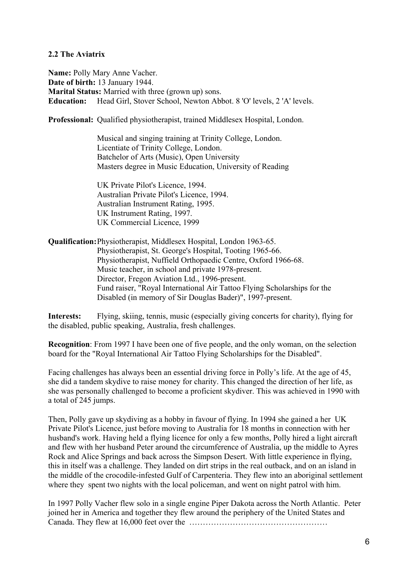#### **2.2 The Aviatrix**

**Name:** Polly Mary Anne Vacher. **Date of birth:** 13 January 1944. **Marital Status:** Married with three (grown up) sons. **Education:** Head Girl, Stover School, Newton Abbot. 8 'O' levels, 2 'A' levels.

**Professional:** Qualified physiotherapist, trained Middlesex Hospital, London.

 Musical and singing training at Trinity College, London. Licentiate of Trinity College, London. Batchelor of Arts (Music), Open University Masters degree in Music Education, University of Reading

 UK Private Pilot's Licence, 1994. Australian Private Pilot's Licence, 1994. Australian Instrument Rating, 1995. UK Instrument Rating, 1997. UK Commercial Licence, 1999

**Qualification:** Physiotherapist, Middlesex Hospital, London 1963-65. Physiotherapist, St. George's Hospital, Tooting 1965-66. Physiotherapist, Nuffield Orthopaedic Centre, Oxford 1966-68. Music teacher, in school and private 1978-present. Director, Fregon Aviation Ltd., 1996-present. Fund raiser, "Royal International Air Tattoo Flying Scholarships for the Disabled (in memory of Sir Douglas Bader)", 1997-present.

**Interests:** Flying, skiing, tennis, music (especially giving concerts for charity), flying for the disabled, public speaking, Australia, fresh challenges.

**Recognition**: From 1997 I have been one of five people, and the only woman, on the selection board for the "Royal International Air Tattoo Flying Scholarships for the Disabled".

Facing challenges has always been an essential driving force in Polly's life. At the age of 45, she did a tandem skydive to raise money for charity. This changed the direction of her life, as she was personally challenged to become a proficient skydiver. This was achieved in 1990 with a total of 245 jumps.

Then, Polly gave up skydiving as a hobby in favour of flying. In 1994 she gained a her UK Private Pilot's Licence, just before moving to Australia for 18 months in connection with her husband's work. Having held a flying licence for only a few months, Polly hired a light aircraft and flew with her husband Peter around the circumference of Australia, up the middle to Ayres Rock and Alice Springs and back across the Simpson Desert. With little experience in flying, this in itself was a challenge. They landed on dirt strips in the real outback, and on an island in the middle of the crocodile-infested Gulf of Carpenteria. They flew into an aboriginal settlement where they spent two nights with the local policeman, and went on night patrol with him.

In 1997 Polly Vacher flew solo in a single engine Piper Dakota across the North Atlantic. Peter joined her in America and together they flew around the periphery of the United States and Canada. They flew at 16,000 feet over the ……………………………………………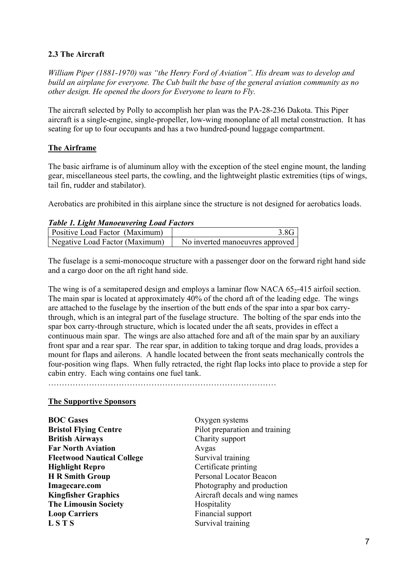#### **2.3 The Aircraft**

*William Piper (1881-1970) was "the Henry Ford of Aviation". His dream was to develop and build an airplane for everyone. The Cub built the base of the general aviation community as no other design. He opened the doors for Everyone to learn to Fly.* 

The aircraft selected by Polly to accomplish her plan was the PA-28-236 Dakota. This Piper aircraft is a single-engine, single-propeller, low-wing monoplane of all metal construction. It has seating for up to four occupants and has a two hundred-pound luggage compartment.

#### **The Airframe**

The basic airframe is of aluminum alloy with the exception of the steel engine mount, the landing gear, miscellaneous steel parts, the cowling, and the lightweight plastic extremities (tips of wings, tail fin, rudder and stabilator).

Aerobatics are prohibited in this airplane since the structure is not designed for aerobatics loads.

#### *Table 1. Light Manoeuvering Load Factors*

| <b>Positive Load Factor (Maximum)</b> | 3 8G I                          |
|---------------------------------------|---------------------------------|
| Negative Load Factor (Maximum)        | No inverted manoeuvres approved |

The fuselage is a semi-monocoque structure with a passenger door on the forward right hand side and a cargo door on the aft right hand side.

The wing is of a semitapered design and employs a laminar flow NACA  $65<sub>2</sub>$ -415 airfoil section. The main spar is located at approximately 40% of the chord aft of the leading edge. The wings are attached to the fuselage by the insertion of the butt ends of the spar into a spar box carrythrough, which is an integral part of the fuselage structure. The bolting of the spar ends into the spar box carry-through structure, which is located under the aft seats, provides in effect a continuous main spar. The wings are also attached fore and aft of the main spar by an auxiliary front spar and a rear spar. The rear spar, in addition to taking torque and drag loads, provides a mount for flaps and ailerons. A handle located between the front seats mechanically controls the four-position wing flaps. When fully retracted, the right flap locks into place to provide a step for cabin entry. Each wing contains one fuel tank.

…………………………………………………………………………

#### **The Supportive Sponsors**

**BOC Gases** Oxygen systems **British Airways** Charity support **Far North Aviation** Avgas **Fleetwood Nautical College Survival training Highlight Repro** Certificate printing **H R Smith Group**  Personal Locator Beacon **Imagecare.com** Photography and production **The Limousin Society Hospitality Loop Carriers Financial support L S T S** Survival training

**Bristol Flying Centre** Pilot preparation and training **Kingfisher Graphics Aircraft decals and wing names**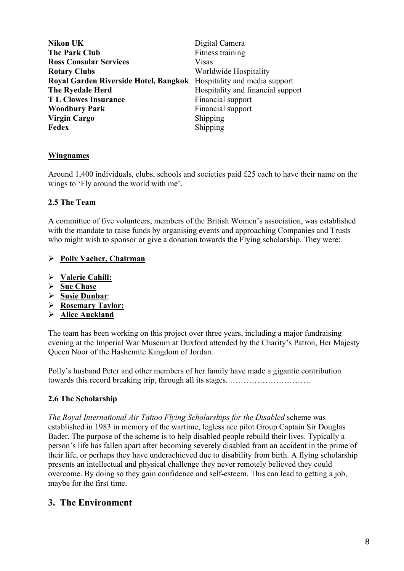| <b>Nikon UK</b>                                                     | Digital Camera                    |
|---------------------------------------------------------------------|-----------------------------------|
| <b>The Park Club</b>                                                | Fitness training                  |
| <b>Ross Consular Services</b>                                       | <b>Visas</b>                      |
| <b>Rotary Clubs</b>                                                 | Worldwide Hospitality             |
| Royal Garden Riverside Hotel, Bangkok Hospitality and media support |                                   |
| The Ryedale Herd                                                    | Hospitality and financial support |
| <b>TL Clowes Insurance</b>                                          | Financial support                 |
| <b>Woodbury Park</b>                                                | Financial support                 |
| <b>Virgin Cargo</b>                                                 | Shipping                          |
| <b>Fedex</b>                                                        | Shipping                          |

#### **Wingnames**

Around 1,400 individuals, clubs, schools and societies paid £25 each to have their name on the wings to 'Fly around the world with me'.

#### **2.5 The Team**

A committee of five volunteers, members of the British Women's association, was established with the mandate to raise funds by organising events and approaching Companies and Trusts who might wish to sponsor or give a donation towards the Flying scholarship. They were:

#### ¾ **Polly Vacher, Chairman**

- ¾ **Valerie Cahill:**
- ¾ **Sue Chase**
- ¾ **Susie Dunbar**:
- ¾ **Rosemary Taylor:**
- ¾ **Alice Auckland**

The team has been working on this project over three years, including a major fundraising evening at the Imperial War Museum at Duxford attended by the Charity's Patron, Her Majesty Queen Noor of the Hashemite Kingdom of Jordan.

Polly's husband Peter and other members of her family have made a gigantic contribution towards this record breaking trip, through all its stages. …………………………

#### **2.6 The Scholarship**

*The Royal International Air Tattoo Flying Scholarships for the Disabled* scheme was established in 1983 in memory of the wartime, legless ace pilot Group Captain Sir Douglas Bader. The purpose of the scheme is to help disabled people rebuild their lives. Typically a person's life has fallen apart after becoming severely disabled from an accident in the prime of their life, or perhaps they have underachieved due to disability from birth. A flying scholarship presents an intellectual and physical challenge they never remotely believed they could overcome. By doing so they gain confidence and self-esteem. This can lead to getting a job, maybe for the first time.

#### **3. The Environment**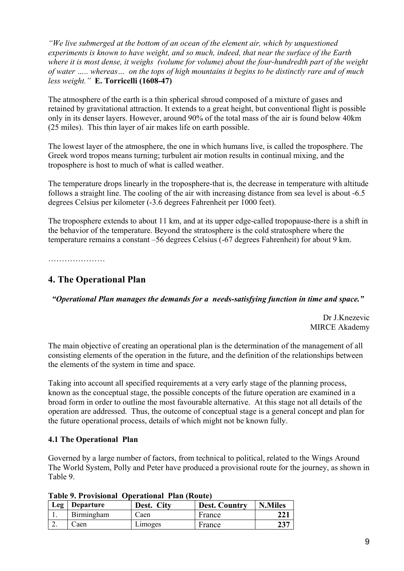*"We live submerged at the bottom of an ocean of the element air, which by unquestioned experiments is known to have weight, and so much, indeed, that near the surface of the Earth where it is most dense, it weighs (volume for volume) about the four-hundredth part of the weight of water ….. whereas… on the tops of high mountains it begins to be distinctly rare and of much less weight."* **E. Torricelli (1608-47)**

The atmosphere of the earth is a thin spherical shroud composed of a mixture of gases and retained by gravitational attraction. It extends to a great height, but conventional flight is possible only in its denser layers. However, around 90% of the total mass of the air is found below 40km (25 miles). This thin layer of air makes life on earth possible.

The lowest layer of the atmosphere, the one in which humans live, is called the troposphere. The Greek word tropos means turning; turbulent air motion results in continual mixing, and the troposphere is host to much of what is called weather.

The temperature drops linearly in the troposphere-that is, the decrease in temperature with altitude follows a straight line. The cooling of the air with increasing distance from sea level is about -6.5 degrees Celsius per kilometer (-3.6 degrees Fahrenheit per 1000 feet).

The troposphere extends to about 11 km, and at its upper edge-called tropopause-there is a shift in the behavior of the temperature. Beyond the stratosphere is the cold stratosphere where the temperature remains a constant –56 degrees Celsius (-67 degrees Fahrenheit) for about 9 km.

…………………………

#### **4. The Operational Plan**

*"Operational Plan manages the demands for a needs-satisfying function in time and space."* 

Dr J.Knezevic MIRCE Akademy

The main objective of creating an operational plan is the determination of the management of all consisting elements of the operation in the future, and the definition of the relationships between the elements of the system in time and space.

Taking into account all specified requirements at a very early stage of the planning process, known as the conceptual stage, the possible concepts of the future operation are examined in a broad form in order to outline the most favourable alternative. At this stage not all details of the operation are addressed. Thus, the outcome of conceptual stage is a general concept and plan for the future operational process, details of which might not be known fully.

#### **4.1 The Operational Plan**

Governed by a large number of factors, from technical to political, related to the Wings Around The World System, Polly and Peter have produced a provisional route for the journey, as shown in Table 9.

| Table 2. I Tovisional Operational Tian (Iwait) |                 |            |                      |                |
|------------------------------------------------|-----------------|------------|----------------------|----------------|
|                                                | Leg   Departure | Dest. City | <b>Dest. Country</b> | <b>N.Miles</b> |
| 1.                                             | Birmingham      | Caen       | France               | <b>221</b>     |
| ۷.                                             | Caen            | Limoges    | France               | 237            |

#### **Table 9. Provisional Operational Plan (Route)**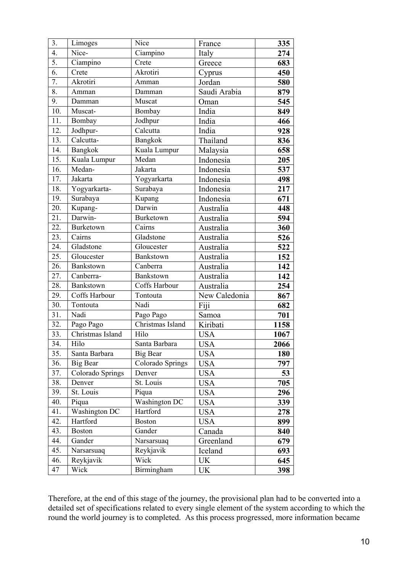| 3.               | Limoges              | Nice                                     | France        | 335  |
|------------------|----------------------|------------------------------------------|---------------|------|
| $\overline{4}$ . | Nice-                | Ciampino                                 | Italy         | 274  |
| 5.               | Ciampino             | Crete                                    | Greece        | 683  |
| 6.               | Crete                | Akrotiri                                 | Cyprus        | 450  |
| 7.               | Akrotiri             | Amman                                    | Jordan        | 580  |
| 8.               | Amman                | Damman                                   | Saudi Arabia  | 879  |
| 9.               | Damman               | Muscat                                   | Oman          | 545  |
| 10.              | Muscat-              | Bombay                                   | India         | 849  |
| 11.              | Bombay               | Jodhpur                                  | India         | 466  |
| 12.              | Jodhpur-             | Calcutta                                 | India         | 928  |
| 13.              | Calcutta-            | Bangkok                                  | Thailand      | 836  |
| 14.              | Bangkok              | Kuala Lumpur                             | Malaysia      | 658  |
| 15.              | Kuala Lumpur         | Medan                                    | Indonesia     | 205  |
| 16.              | Medan-               | Jakarta                                  | Indonesia     | 537  |
| 17.              | Jakarta              | Yogyarkarta                              | Indonesia     | 498  |
| 18.              | Yogyarkarta-         | Surabaya                                 | Indonesia     | 217  |
| 19.              | Surabaya             | Kupang                                   | Indonesia     | 671  |
| 20.              | Kupang-              | Darwin                                   | Australia     | 448  |
| 21.              | Darwin-              | Burketown                                | Australia     | 594  |
| 22.              | <b>Burketown</b>     | $\overline{\overline{\mathrm{C}a}}$ irns | Australia     | 360  |
| 23.              | Cairns               | Gladstone                                | Australia     | 526  |
| 24.              | Gladstone            | Gloucester                               | Australia     | 522  |
| 25.              | Gloucester           | Bankstown                                | Australia     | 152  |
| 26.              | Bankstown            | Canberra                                 | Australia     | 142  |
| 27.              | Canberra-            | Bankstown                                | Australia     | 142  |
| 28.              | Bankstown            | Coffs Harbour                            | Australia     | 254  |
| 29.              | Coffs Harbour        | Tontouta                                 | New Caledonia | 867  |
| 30.              | Tontouta             | Nadi                                     | Fiji          | 682  |
| 31.              | Nadi                 | Pago Pago                                | Samoa         | 701  |
| 32.              | Pago Pago            | Christmas Island                         | Kiribati      | 1158 |
| 33.              | Christmas Island     | Hilo                                     | <b>USA</b>    | 1067 |
| 34.              | Hilo                 | Santa Barbara                            | USA           | 2066 |
| 35.              | Santa Barbara        | Big Bear                                 | <b>USA</b>    | 180  |
| 36.              | Big Bear             | Colorado Springs                         | <b>USA</b>    | 797  |
| 37.              | Colorado Springs     | Denver                                   | <b>USA</b>    | 53   |
| 38.              | Denver               | St. Louis                                | <b>USA</b>    | 705  |
| 39.              | St. Louis            | Piqua                                    | <b>USA</b>    | 296  |
| 40.              | Piqua                | <b>Washington DC</b>                     | <b>USA</b>    | 339  |
| 41.              | <b>Washington DC</b> | Hartford                                 | <b>USA</b>    | 278  |
| 42.              | Hartford             | <b>Boston</b>                            | <b>USA</b>    | 899  |
| 43.              | <b>Boston</b>        | Gander                                   | Canada        | 840  |
| 44.              | Gander               | Narsarsuaq                               | Greenland     | 679  |
| 45.              | Narsarsuaq           | Reykjavik                                | Iceland       | 693  |
| 46.              | Reykjavik            | Wick                                     | UK            | 645  |
| 47               | Wick                 | Birmingham                               | <b>UK</b>     | 398  |
|                  |                      |                                          |               |      |

Therefore, at the end of this stage of the journey, the provisional plan had to be converted into a detailed set of specifications related to every single element of the system according to which the round the world journey is to completed. As this process progressed, more information became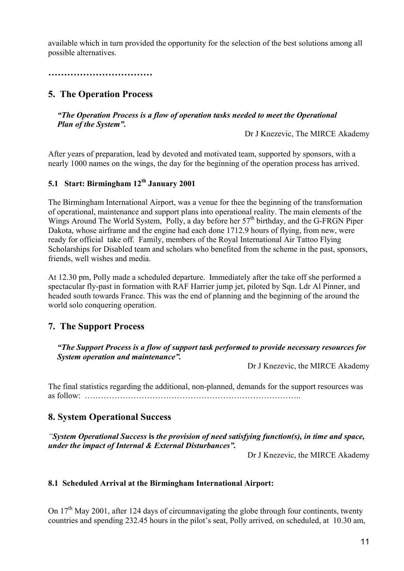available which in turn provided the opportunity for the selection of the best solutions among all possible alternatives.

**……………………………** 

# **5. The Operation Process**

#### *"The Operation Process is a flow of operation tasks needed to meet the Operational Plan of the System".*

Dr J Knezevic, The MIRCE Akademy

After years of preparation, lead by devoted and motivated team, supported by sponsors, with a nearly 1000 names on the wings, the day for the beginning of the operation process has arrived.

# **5.1 Start: Birmingham 12th January 2001**

The Birmingham International Airport, was a venue for thee the beginning of the transformation of operational, maintenance and support plans into operational reality. The main elements of the Wings Around The World System, Polly, a day before her  $57<sup>th</sup>$  birthday, and the G-FRGN Piper Dakota, whose airframe and the engine had each done 1712.9 hours of flying, from new, were ready for official take off. Family, members of the Royal International Air Tattoo Flying Scholarships for Disabled team and scholars who benefited from the scheme in the past, sponsors, friends, well wishes and media.

At 12.30 pm, Polly made a scheduled departure. Immediately after the take off she performed a spectacular fly-past in formation with RAF Harrier jump jet, piloted by Sqn. Ldr Al Pinner, and headed south towards France. This was the end of planning and the beginning of the around the world solo conquering operation.

# **7. The Support Process**

*"The Support Process is a flow of support task performed to provide necessary resources for System operation and maintenance".* 

Dr J Knezevic, the MIRCE Akademy

The final statistics regarding the additional, non-planned, demands for the support resources was as follow: ……………………………………………………………………..

#### **8. System Operational Success**

*"System Operational Success* **is** *the provision of need satisfying function(s), in time and space, under the impact of Internal & External Disturbances".* 

Dr J Knezevic, the MIRCE Akademy

#### **8.1 Scheduled Arrival at the Birmingham International Airport:**

On  $17<sup>th</sup>$  May 2001, after 124 days of circumnavigating the globe through four continents, twenty countries and spending 232.45 hours in the pilot's seat, Polly arrived, on scheduled, at 10.30 am,